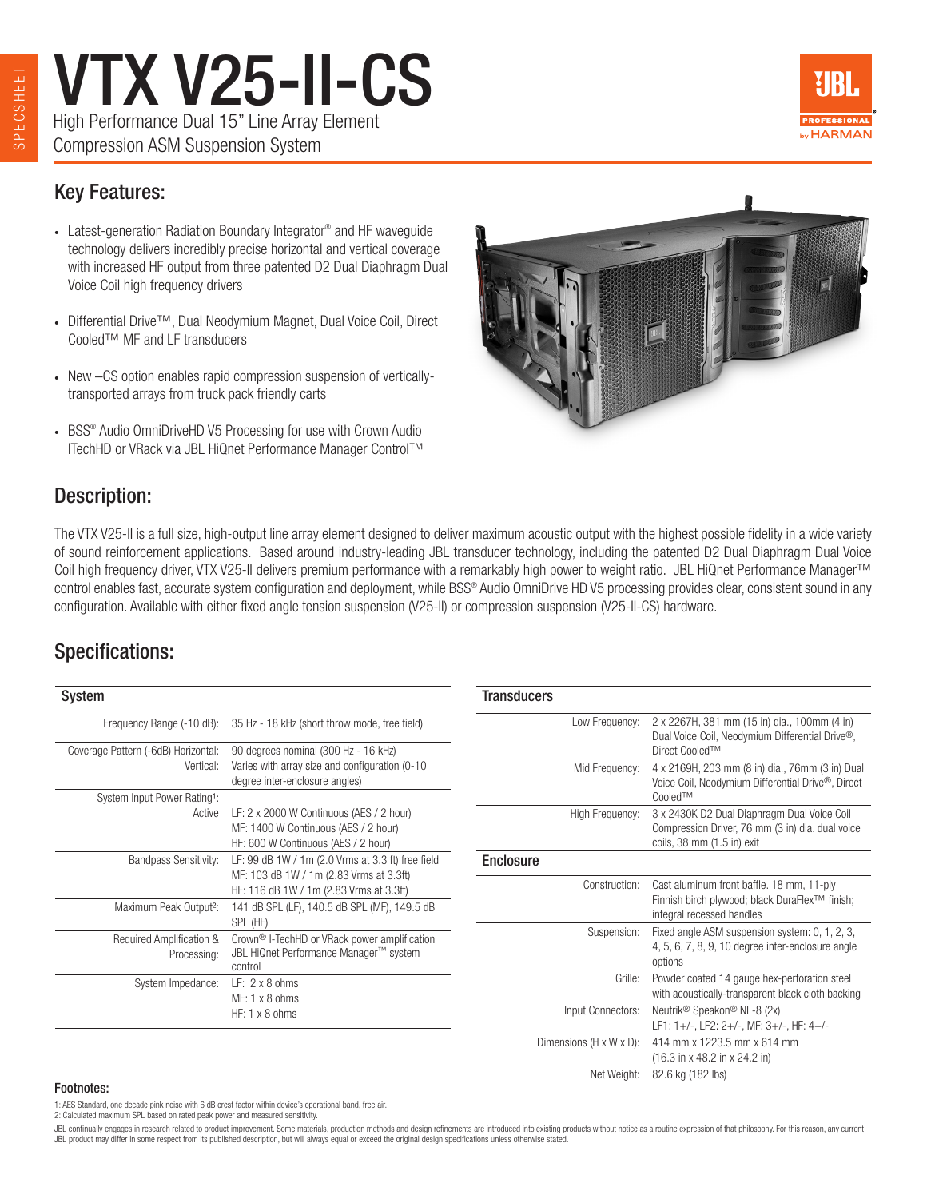VTX V25-II-CS High Performance Dual 15" Line Array Element Compression ASM Suspension System



### Key Features:

- Latest-generation Radiation Boundary Integrator<sup>®</sup> and HF waveguide technology delivers incredibly precise horizontal and vertical coverage with increased HF output from three patented D2 Dual Diaphragm Dual Voice Coil high frequency drivers
- Differential Drive™, Dual Neodymium Magnet, Dual Voice Coil, Direct Cooled™ MF and LF transducers
- New –CS option enables rapid compression suspension of verticallytransported arrays from truck pack friendly carts
- BSS<sup>®</sup> Audio OmniDriveHD V5 Processing for use with Crown Audio ITechHD or VRack via JBL HiQnet Performance Manager Control™



### Description:

The VTX V25-II is a full size, high-output line array element designed to deliver maximum acoustic output with the highest possible fidelity in a wide variety of sound reinforcement applications. Based around industry-leading JBL transducer technology, including the patented D2 Dual Diaphragm Dual Voice Coil high frequency driver, VTX V25-II delivers premium performance with a remarkably high power to weight ratio. JBL HiQnet Performance Manager™ control enables fast, accurate system configuration and deployment, while BSS® Audio OmniDrive HD V5 processing provides clear, consistent sound in any configuration. Available with either fixed angle tension suspension (V25-II) or compression suspension (V25-II-CS) hardware.

**Transducers** 

### Specifications:

| Frequency Range (-10 dB):                | 35 Hz - 18 kHz (short throw mode, free field)            |
|------------------------------------------|----------------------------------------------------------|
| Coverage Pattern (-6dB) Horizontal:      | 90 degrees nominal (300 Hz - 16 kHz)                     |
| Vertical:                                | Varies with array size and configuration (0-10)          |
|                                          | degree inter-enclosure angles)                           |
| System Input Power Rating <sup>1</sup> : |                                                          |
| Active                                   | LF: 2 x 2000 W Continuous (AES / 2 hour)                 |
|                                          | MF: 1400 W Continuous (AES / 2 hour)                     |
|                                          | HF: 600 W Continuous (AES / 2 hour)                      |
| <b>Bandpass Sensitivity:</b>             | LF: 99 dB 1W / 1m (2.0 Vrms at 3.3 ft) free field        |
|                                          | MF: 103 dB 1W / 1m (2.83 Vrms at 3.3ft)                  |
|                                          | HF: 116 dB 1W / 1m (2.83 Vrms at 3.3ft)                  |
| Maximum Peak Output <sup>2</sup> :       | 141 dB SPL (LF), 140.5 dB SPL (MF), 149.5 dB             |
|                                          | SPL (HF)                                                 |
| Required Amplification &                 | Crown <sup>®</sup> I-TechHD or VRack power amplification |
| Processing:                              | JBL HiQnet Performance Manager™ system                   |
|                                          | control                                                  |
| System Impedance:                        | $LF: 2 \times 8$ ohms                                    |
|                                          | $MF: 1 \times 8$ ohms                                    |
|                                          | $HF: 1 \times 8$ ohms                                    |

| παπουυσιο               |                                                                                                                                |
|-------------------------|--------------------------------------------------------------------------------------------------------------------------------|
| Low Frequency:          | 2 x 2267H, 381 mm (15 in) dia., 100mm (4 in)<br>Dual Voice Coil, Neodymium Differential Drive <sup>®</sup> ,<br>Direct Cooled™ |
| Mid Frequency:          | 4 x 2169H, 203 mm (8 in) dia., 76mm (3 in) Dual<br>Voice Coil, Neodymium Differential Drive <sup>®</sup> , Direct<br>Cooled™   |
| High Frequency:         | 3 x 2430K D2 Dual Diaphragm Dual Voice Coil<br>Compression Driver, 76 mm (3 in) dia. dual voice<br>coils, 38 mm (1.5 in) exit  |
| <b>Enclosure</b>        |                                                                                                                                |
| Construction:           | Cast aluminum front baffle. 18 mm, 11-ply<br>Finnish birch plywood; black DuraFlex™ finish;<br>integral recessed handles       |
| Suspension:             | Fixed angle ASM suspension system: 0, 1, 2, 3,<br>4, 5, 6, 7, 8, 9, 10 degree inter-enclosure angle<br>options                 |
| Grille:                 | Powder coated 14 gauge hex-perforation steel<br>with acoustically-transparent black cloth backing                              |
| Input Connectors:       | Neutrik <sup>®</sup> Speakon <sup>®</sup> NL-8 (2x)<br>LF1: 1+/-, LF2: 2+/-, MF: 3+/-, HF: 4+/-                                |
| Dimensions (H x W x D): | 414 mm x 1223.5 mm x 614 mm<br>$(16.3 \text{ in } x 48.2 \text{ in } x 24.2 \text{ in})$                                       |
| Net Weight:             | 82.6 kg (182 lbs)                                                                                                              |

#### Footnotes:

1: AES Standard, one decade pink noise with 6 dB crest factor within device's operational band, free air.

2: Calculated maximum SPL based on rated peak power and measured sensitivity.

JBI continually engages in research related to product improvement. Some materials, production methods and design refinements are introduced into existing products without potice as a routine expression of that philosophy. JBL product may differ in some respect from its published description, but will always equal or exceed the original design specifications unless otherwise stated